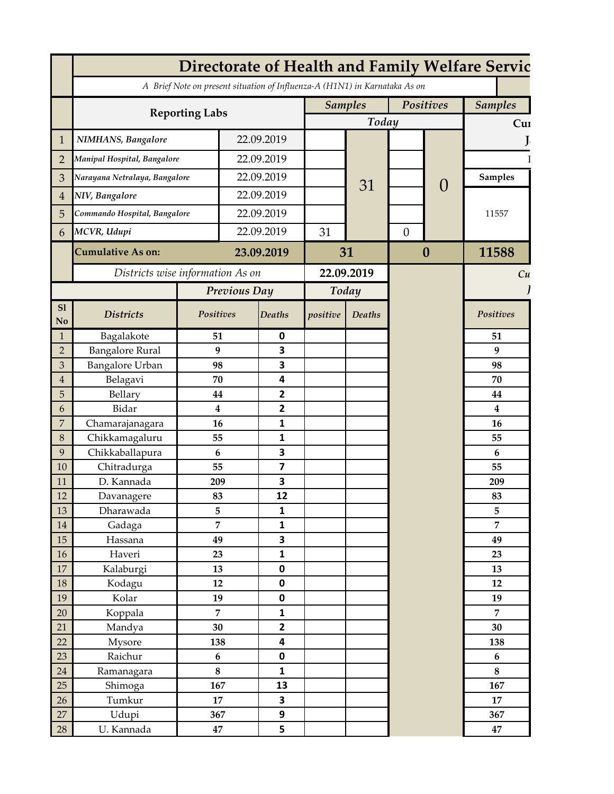| A Brief Note on present situation of Influenza-A (H1N1) in Karnataka As on<br>Positives<br><b>Samples</b><br><b>Samples</b><br><b>Reporting Labs</b><br>Today<br>Cur<br>22.09.2019<br><b>NIMHANS</b> , Bangalore<br>$\mathbf{1}$<br>22.09.2019<br>Manipal Hospital, Bangalore<br>$\overline{2}$<br>22.09.2019<br>Narayana Netralaya, Bangalore<br><b>Samples</b><br>3<br>31<br>$\overline{0}$<br>22.09.2019<br>NIV, Bangalore<br>4<br>22.09.2019<br>Commando Hospital, Bangalore<br>11557<br>5<br>22.09.2019<br>MCVR, Udupi<br>31<br>$\overline{0}$<br>6<br><b>Cumulative As on:</b><br>31<br>$\boldsymbol{0}$<br>11588<br>23.09.2019<br>Districts wise information As on<br>22.09.2019<br>Cu<br>Previous Day<br>Today<br>SI<br>Positives<br><b>Deaths</b><br>positive<br><b>Positives</b><br><b>Districts</b><br><b>Deaths</b><br>$\mathbf {No}$<br>Bagalakote<br>0<br>51<br>51<br>$\mathbf{1}$<br>3<br><b>Bangalore Rural</b><br>$\boldsymbol{9}$<br>9<br>$\overline{2}$<br>3<br><b>Bangalore Urban</b><br>3<br>98<br>98<br>4<br>Belagavi<br>$\sqrt{4}$<br>70<br>70<br>$\overline{\mathbf{2}}$<br>5<br>Bellary<br>44<br>44<br>Bidar<br>$\overline{2}$<br>6<br>$\boldsymbol{4}$<br>4<br>$\overline{7}$<br>16<br>$\mathbf{1}$<br>Chamarajanagara<br>16<br>Chikkamagaluru<br>$\,8\,$<br>55<br>1<br>55<br>3<br>9<br>Chikkaballapura<br>6<br>6<br>$\overline{\mathbf{z}}$<br>10<br>Chitradurga<br>55<br>55<br>D. Kannada<br>3<br>11<br>209<br>209<br>12<br>12<br>Davanagere<br>83<br>83<br>Dharawada<br>5<br>$\mathbf{1}$<br>5<br>13<br>$\overline{7}$<br>$\overline{7}$<br>$\mathbf{1}$<br>$14\,$<br>Gadaga<br>3<br>15<br>49<br>Hassana<br>49<br>$16\,$<br>Haveri<br>$\mathbf{1}$<br>23<br>23<br>$17\,$<br>$\pmb{0}$<br>Kalaburgi<br>13<br>13<br>18<br>0<br>Kodagu<br>12<br>12<br>Kolar<br>19<br>0<br>19<br>19<br>Koppala<br>20<br>$\overline{7}$<br>$\mathbf{1}$<br>$\overline{7}$<br>$\overline{\mathbf{2}}$<br>21<br>30<br>30<br>Mandya<br>22<br>4<br>Mysore<br>138<br>138<br>23<br>0<br>Raichur<br>$\boldsymbol{6}$<br>6<br>24<br>$\bf 8$<br>$\mathbf{1}$<br>Ramanagara<br>$\bf 8$<br>25<br>Shimoga<br>13<br>167<br>167<br>$\overline{\mathbf{3}}$<br>26<br>Tumkur<br>17<br>17<br>27<br>9<br>Udupi<br>367<br>367<br>47 |        | Directorate of Health and Family Welfare Servic |  |  |   |  |  |  |  |    |  |  |
|--------------------------------------------------------------------------------------------------------------------------------------------------------------------------------------------------------------------------------------------------------------------------------------------------------------------------------------------------------------------------------------------------------------------------------------------------------------------------------------------------------------------------------------------------------------------------------------------------------------------------------------------------------------------------------------------------------------------------------------------------------------------------------------------------------------------------------------------------------------------------------------------------------------------------------------------------------------------------------------------------------------------------------------------------------------------------------------------------------------------------------------------------------------------------------------------------------------------------------------------------------------------------------------------------------------------------------------------------------------------------------------------------------------------------------------------------------------------------------------------------------------------------------------------------------------------------------------------------------------------------------------------------------------------------------------------------------------------------------------------------------------------------------------------------------------------------------------------------------------------------------------------------------------------------------------------------------------------------------------------------------------------------------------------------------------------------------------------------------------------------------------------------------------------------------------------------------------------------|--------|-------------------------------------------------|--|--|---|--|--|--|--|----|--|--|
|                                                                                                                                                                                                                                                                                                                                                                                                                                                                                                                                                                                                                                                                                                                                                                                                                                                                                                                                                                                                                                                                                                                                                                                                                                                                                                                                                                                                                                                                                                                                                                                                                                                                                                                                                                                                                                                                                                                                                                                                                                                                                                                                                                                                                          |        |                                                 |  |  |   |  |  |  |  |    |  |  |
|                                                                                                                                                                                                                                                                                                                                                                                                                                                                                                                                                                                                                                                                                                                                                                                                                                                                                                                                                                                                                                                                                                                                                                                                                                                                                                                                                                                                                                                                                                                                                                                                                                                                                                                                                                                                                                                                                                                                                                                                                                                                                                                                                                                                                          |        |                                                 |  |  |   |  |  |  |  |    |  |  |
|                                                                                                                                                                                                                                                                                                                                                                                                                                                                                                                                                                                                                                                                                                                                                                                                                                                                                                                                                                                                                                                                                                                                                                                                                                                                                                                                                                                                                                                                                                                                                                                                                                                                                                                                                                                                                                                                                                                                                                                                                                                                                                                                                                                                                          |        |                                                 |  |  |   |  |  |  |  |    |  |  |
|                                                                                                                                                                                                                                                                                                                                                                                                                                                                                                                                                                                                                                                                                                                                                                                                                                                                                                                                                                                                                                                                                                                                                                                                                                                                                                                                                                                                                                                                                                                                                                                                                                                                                                                                                                                                                                                                                                                                                                                                                                                                                                                                                                                                                          |        |                                                 |  |  |   |  |  |  |  |    |  |  |
|                                                                                                                                                                                                                                                                                                                                                                                                                                                                                                                                                                                                                                                                                                                                                                                                                                                                                                                                                                                                                                                                                                                                                                                                                                                                                                                                                                                                                                                                                                                                                                                                                                                                                                                                                                                                                                                                                                                                                                                                                                                                                                                                                                                                                          |        |                                                 |  |  |   |  |  |  |  |    |  |  |
|                                                                                                                                                                                                                                                                                                                                                                                                                                                                                                                                                                                                                                                                                                                                                                                                                                                                                                                                                                                                                                                                                                                                                                                                                                                                                                                                                                                                                                                                                                                                                                                                                                                                                                                                                                                                                                                                                                                                                                                                                                                                                                                                                                                                                          |        |                                                 |  |  |   |  |  |  |  |    |  |  |
|                                                                                                                                                                                                                                                                                                                                                                                                                                                                                                                                                                                                                                                                                                                                                                                                                                                                                                                                                                                                                                                                                                                                                                                                                                                                                                                                                                                                                                                                                                                                                                                                                                                                                                                                                                                                                                                                                                                                                                                                                                                                                                                                                                                                                          |        |                                                 |  |  |   |  |  |  |  |    |  |  |
|                                                                                                                                                                                                                                                                                                                                                                                                                                                                                                                                                                                                                                                                                                                                                                                                                                                                                                                                                                                                                                                                                                                                                                                                                                                                                                                                                                                                                                                                                                                                                                                                                                                                                                                                                                                                                                                                                                                                                                                                                                                                                                                                                                                                                          |        |                                                 |  |  |   |  |  |  |  |    |  |  |
|                                                                                                                                                                                                                                                                                                                                                                                                                                                                                                                                                                                                                                                                                                                                                                                                                                                                                                                                                                                                                                                                                                                                                                                                                                                                                                                                                                                                                                                                                                                                                                                                                                                                                                                                                                                                                                                                                                                                                                                                                                                                                                                                                                                                                          |        |                                                 |  |  |   |  |  |  |  |    |  |  |
|                                                                                                                                                                                                                                                                                                                                                                                                                                                                                                                                                                                                                                                                                                                                                                                                                                                                                                                                                                                                                                                                                                                                                                                                                                                                                                                                                                                                                                                                                                                                                                                                                                                                                                                                                                                                                                                                                                                                                                                                                                                                                                                                                                                                                          |        |                                                 |  |  |   |  |  |  |  |    |  |  |
|                                                                                                                                                                                                                                                                                                                                                                                                                                                                                                                                                                                                                                                                                                                                                                                                                                                                                                                                                                                                                                                                                                                                                                                                                                                                                                                                                                                                                                                                                                                                                                                                                                                                                                                                                                                                                                                                                                                                                                                                                                                                                                                                                                                                                          |        |                                                 |  |  |   |  |  |  |  |    |  |  |
|                                                                                                                                                                                                                                                                                                                                                                                                                                                                                                                                                                                                                                                                                                                                                                                                                                                                                                                                                                                                                                                                                                                                                                                                                                                                                                                                                                                                                                                                                                                                                                                                                                                                                                                                                                                                                                                                                                                                                                                                                                                                                                                                                                                                                          |        |                                                 |  |  |   |  |  |  |  |    |  |  |
|                                                                                                                                                                                                                                                                                                                                                                                                                                                                                                                                                                                                                                                                                                                                                                                                                                                                                                                                                                                                                                                                                                                                                                                                                                                                                                                                                                                                                                                                                                                                                                                                                                                                                                                                                                                                                                                                                                                                                                                                                                                                                                                                                                                                                          |        |                                                 |  |  |   |  |  |  |  |    |  |  |
|                                                                                                                                                                                                                                                                                                                                                                                                                                                                                                                                                                                                                                                                                                                                                                                                                                                                                                                                                                                                                                                                                                                                                                                                                                                                                                                                                                                                                                                                                                                                                                                                                                                                                                                                                                                                                                                                                                                                                                                                                                                                                                                                                                                                                          |        |                                                 |  |  |   |  |  |  |  |    |  |  |
|                                                                                                                                                                                                                                                                                                                                                                                                                                                                                                                                                                                                                                                                                                                                                                                                                                                                                                                                                                                                                                                                                                                                                                                                                                                                                                                                                                                                                                                                                                                                                                                                                                                                                                                                                                                                                                                                                                                                                                                                                                                                                                                                                                                                                          |        |                                                 |  |  |   |  |  |  |  |    |  |  |
|                                                                                                                                                                                                                                                                                                                                                                                                                                                                                                                                                                                                                                                                                                                                                                                                                                                                                                                                                                                                                                                                                                                                                                                                                                                                                                                                                                                                                                                                                                                                                                                                                                                                                                                                                                                                                                                                                                                                                                                                                                                                                                                                                                                                                          |        |                                                 |  |  |   |  |  |  |  |    |  |  |
|                                                                                                                                                                                                                                                                                                                                                                                                                                                                                                                                                                                                                                                                                                                                                                                                                                                                                                                                                                                                                                                                                                                                                                                                                                                                                                                                                                                                                                                                                                                                                                                                                                                                                                                                                                                                                                                                                                                                                                                                                                                                                                                                                                                                                          |        |                                                 |  |  |   |  |  |  |  |    |  |  |
|                                                                                                                                                                                                                                                                                                                                                                                                                                                                                                                                                                                                                                                                                                                                                                                                                                                                                                                                                                                                                                                                                                                                                                                                                                                                                                                                                                                                                                                                                                                                                                                                                                                                                                                                                                                                                                                                                                                                                                                                                                                                                                                                                                                                                          |        |                                                 |  |  |   |  |  |  |  |    |  |  |
|                                                                                                                                                                                                                                                                                                                                                                                                                                                                                                                                                                                                                                                                                                                                                                                                                                                                                                                                                                                                                                                                                                                                                                                                                                                                                                                                                                                                                                                                                                                                                                                                                                                                                                                                                                                                                                                                                                                                                                                                                                                                                                                                                                                                                          |        |                                                 |  |  |   |  |  |  |  |    |  |  |
|                                                                                                                                                                                                                                                                                                                                                                                                                                                                                                                                                                                                                                                                                                                                                                                                                                                                                                                                                                                                                                                                                                                                                                                                                                                                                                                                                                                                                                                                                                                                                                                                                                                                                                                                                                                                                                                                                                                                                                                                                                                                                                                                                                                                                          |        |                                                 |  |  |   |  |  |  |  |    |  |  |
|                                                                                                                                                                                                                                                                                                                                                                                                                                                                                                                                                                                                                                                                                                                                                                                                                                                                                                                                                                                                                                                                                                                                                                                                                                                                                                                                                                                                                                                                                                                                                                                                                                                                                                                                                                                                                                                                                                                                                                                                                                                                                                                                                                                                                          |        |                                                 |  |  |   |  |  |  |  |    |  |  |
|                                                                                                                                                                                                                                                                                                                                                                                                                                                                                                                                                                                                                                                                                                                                                                                                                                                                                                                                                                                                                                                                                                                                                                                                                                                                                                                                                                                                                                                                                                                                                                                                                                                                                                                                                                                                                                                                                                                                                                                                                                                                                                                                                                                                                          |        |                                                 |  |  |   |  |  |  |  |    |  |  |
|                                                                                                                                                                                                                                                                                                                                                                                                                                                                                                                                                                                                                                                                                                                                                                                                                                                                                                                                                                                                                                                                                                                                                                                                                                                                                                                                                                                                                                                                                                                                                                                                                                                                                                                                                                                                                                                                                                                                                                                                                                                                                                                                                                                                                          |        |                                                 |  |  |   |  |  |  |  |    |  |  |
|                                                                                                                                                                                                                                                                                                                                                                                                                                                                                                                                                                                                                                                                                                                                                                                                                                                                                                                                                                                                                                                                                                                                                                                                                                                                                                                                                                                                                                                                                                                                                                                                                                                                                                                                                                                                                                                                                                                                                                                                                                                                                                                                                                                                                          |        |                                                 |  |  |   |  |  |  |  |    |  |  |
|                                                                                                                                                                                                                                                                                                                                                                                                                                                                                                                                                                                                                                                                                                                                                                                                                                                                                                                                                                                                                                                                                                                                                                                                                                                                                                                                                                                                                                                                                                                                                                                                                                                                                                                                                                                                                                                                                                                                                                                                                                                                                                                                                                                                                          |        |                                                 |  |  |   |  |  |  |  |    |  |  |
|                                                                                                                                                                                                                                                                                                                                                                                                                                                                                                                                                                                                                                                                                                                                                                                                                                                                                                                                                                                                                                                                                                                                                                                                                                                                                                                                                                                                                                                                                                                                                                                                                                                                                                                                                                                                                                                                                                                                                                                                                                                                                                                                                                                                                          |        |                                                 |  |  |   |  |  |  |  |    |  |  |
|                                                                                                                                                                                                                                                                                                                                                                                                                                                                                                                                                                                                                                                                                                                                                                                                                                                                                                                                                                                                                                                                                                                                                                                                                                                                                                                                                                                                                                                                                                                                                                                                                                                                                                                                                                                                                                                                                                                                                                                                                                                                                                                                                                                                                          |        |                                                 |  |  |   |  |  |  |  |    |  |  |
|                                                                                                                                                                                                                                                                                                                                                                                                                                                                                                                                                                                                                                                                                                                                                                                                                                                                                                                                                                                                                                                                                                                                                                                                                                                                                                                                                                                                                                                                                                                                                                                                                                                                                                                                                                                                                                                                                                                                                                                                                                                                                                                                                                                                                          |        |                                                 |  |  |   |  |  |  |  |    |  |  |
|                                                                                                                                                                                                                                                                                                                                                                                                                                                                                                                                                                                                                                                                                                                                                                                                                                                                                                                                                                                                                                                                                                                                                                                                                                                                                                                                                                                                                                                                                                                                                                                                                                                                                                                                                                                                                                                                                                                                                                                                                                                                                                                                                                                                                          |        |                                                 |  |  |   |  |  |  |  |    |  |  |
|                                                                                                                                                                                                                                                                                                                                                                                                                                                                                                                                                                                                                                                                                                                                                                                                                                                                                                                                                                                                                                                                                                                                                                                                                                                                                                                                                                                                                                                                                                                                                                                                                                                                                                                                                                                                                                                                                                                                                                                                                                                                                                                                                                                                                          |        |                                                 |  |  |   |  |  |  |  |    |  |  |
|                                                                                                                                                                                                                                                                                                                                                                                                                                                                                                                                                                                                                                                                                                                                                                                                                                                                                                                                                                                                                                                                                                                                                                                                                                                                                                                                                                                                                                                                                                                                                                                                                                                                                                                                                                                                                                                                                                                                                                                                                                                                                                                                                                                                                          |        |                                                 |  |  |   |  |  |  |  |    |  |  |
|                                                                                                                                                                                                                                                                                                                                                                                                                                                                                                                                                                                                                                                                                                                                                                                                                                                                                                                                                                                                                                                                                                                                                                                                                                                                                                                                                                                                                                                                                                                                                                                                                                                                                                                                                                                                                                                                                                                                                                                                                                                                                                                                                                                                                          |        |                                                 |  |  |   |  |  |  |  |    |  |  |
|                                                                                                                                                                                                                                                                                                                                                                                                                                                                                                                                                                                                                                                                                                                                                                                                                                                                                                                                                                                                                                                                                                                                                                                                                                                                                                                                                                                                                                                                                                                                                                                                                                                                                                                                                                                                                                                                                                                                                                                                                                                                                                                                                                                                                          |        |                                                 |  |  |   |  |  |  |  |    |  |  |
|                                                                                                                                                                                                                                                                                                                                                                                                                                                                                                                                                                                                                                                                                                                                                                                                                                                                                                                                                                                                                                                                                                                                                                                                                                                                                                                                                                                                                                                                                                                                                                                                                                                                                                                                                                                                                                                                                                                                                                                                                                                                                                                                                                                                                          |        |                                                 |  |  |   |  |  |  |  |    |  |  |
|                                                                                                                                                                                                                                                                                                                                                                                                                                                                                                                                                                                                                                                                                                                                                                                                                                                                                                                                                                                                                                                                                                                                                                                                                                                                                                                                                                                                                                                                                                                                                                                                                                                                                                                                                                                                                                                                                                                                                                                                                                                                                                                                                                                                                          |        |                                                 |  |  |   |  |  |  |  |    |  |  |
|                                                                                                                                                                                                                                                                                                                                                                                                                                                                                                                                                                                                                                                                                                                                                                                                                                                                                                                                                                                                                                                                                                                                                                                                                                                                                                                                                                                                                                                                                                                                                                                                                                                                                                                                                                                                                                                                                                                                                                                                                                                                                                                                                                                                                          |        |                                                 |  |  |   |  |  |  |  |    |  |  |
|                                                                                                                                                                                                                                                                                                                                                                                                                                                                                                                                                                                                                                                                                                                                                                                                                                                                                                                                                                                                                                                                                                                                                                                                                                                                                                                                                                                                                                                                                                                                                                                                                                                                                                                                                                                                                                                                                                                                                                                                                                                                                                                                                                                                                          |        |                                                 |  |  |   |  |  |  |  |    |  |  |
|                                                                                                                                                                                                                                                                                                                                                                                                                                                                                                                                                                                                                                                                                                                                                                                                                                                                                                                                                                                                                                                                                                                                                                                                                                                                                                                                                                                                                                                                                                                                                                                                                                                                                                                                                                                                                                                                                                                                                                                                                                                                                                                                                                                                                          |        |                                                 |  |  |   |  |  |  |  |    |  |  |
|                                                                                                                                                                                                                                                                                                                                                                                                                                                                                                                                                                                                                                                                                                                                                                                                                                                                                                                                                                                                                                                                                                                                                                                                                                                                                                                                                                                                                                                                                                                                                                                                                                                                                                                                                                                                                                                                                                                                                                                                                                                                                                                                                                                                                          |        |                                                 |  |  |   |  |  |  |  |    |  |  |
|                                                                                                                                                                                                                                                                                                                                                                                                                                                                                                                                                                                                                                                                                                                                                                                                                                                                                                                                                                                                                                                                                                                                                                                                                                                                                                                                                                                                                                                                                                                                                                                                                                                                                                                                                                                                                                                                                                                                                                                                                                                                                                                                                                                                                          |        |                                                 |  |  |   |  |  |  |  |    |  |  |
|                                                                                                                                                                                                                                                                                                                                                                                                                                                                                                                                                                                                                                                                                                                                                                                                                                                                                                                                                                                                                                                                                                                                                                                                                                                                                                                                                                                                                                                                                                                                                                                                                                                                                                                                                                                                                                                                                                                                                                                                                                                                                                                                                                                                                          | $28\,$ | U. Kannada                                      |  |  | 5 |  |  |  |  | 47 |  |  |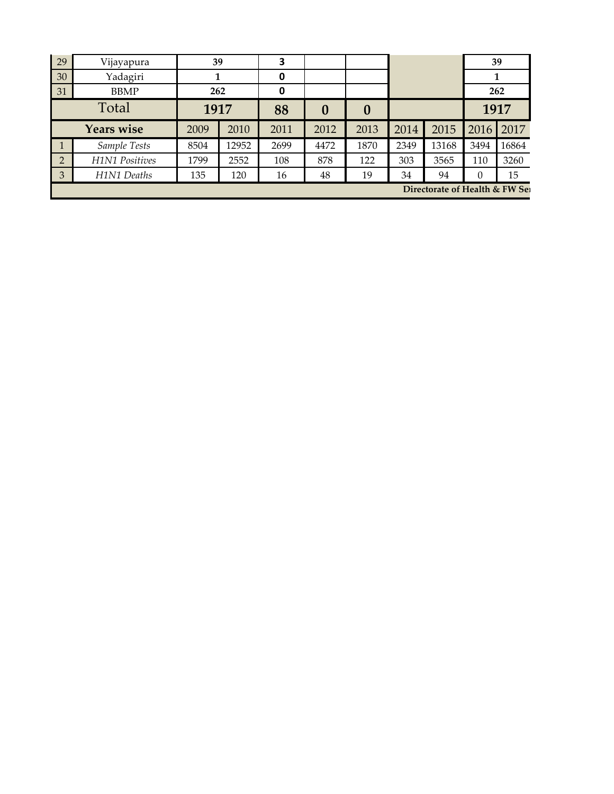| 29                             | Vijayapura            | 39   |       | 3    |      |                  |      |       | 39       |       |
|--------------------------------|-----------------------|------|-------|------|------|------------------|------|-------|----------|-------|
| 30                             | Yadagiri              |      |       | 0    |      |                  |      |       |          |       |
| 31                             | <b>BBMP</b>           | 262  |       | 0    |      |                  |      |       | 262      |       |
| Total                          |                       | 1917 |       | 88   | 0    | $\boldsymbol{0}$ |      |       | 1917     |       |
| <b>Years wise</b>              |                       | 2009 | 2010  | 2011 | 2012 | 2013             | 2014 | 2015  | 2016     | 2017  |
|                                | Sample Tests          | 8504 | 12952 | 2699 | 4472 | 1870             | 2349 | 13168 | 3494     | 16864 |
| $\overline{2}$                 | <b>H1N1 Positives</b> | 1799 | 2552  | 108  | 878  | 122              | 303  | 3565  | 110      | 3260  |
| 3                              | H1N1 Deaths           | 135  | 120   | 16   | 48   | 19               | 34   | 94    | $\theta$ | 15    |
| Directorate of Health & FW Sei |                       |      |       |      |      |                  |      |       |          |       |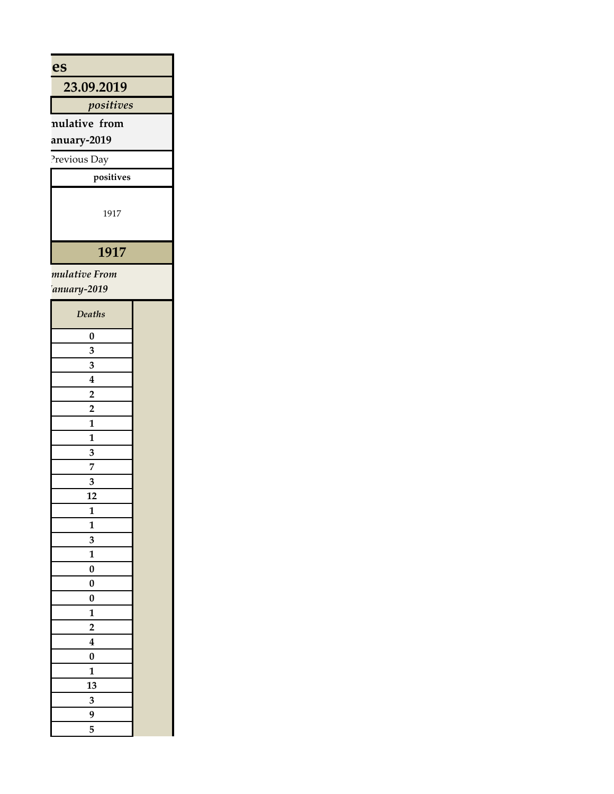| es                                      |  |
|-----------------------------------------|--|
| 23.09.2019                              |  |
| positives                               |  |
| nulative from                           |  |
| anuary-2019                             |  |
| Previous Day                            |  |
|                                         |  |
| $\,$ positives                          |  |
| 1917                                    |  |
| 1917                                    |  |
| mulative From                           |  |
| anuary-2019                             |  |
| Deaths                                  |  |
| $\pmb{0}$                               |  |
| $\mathbf{3}$                            |  |
| $\mathbf{3}$                            |  |
| $\overline{\mathbf{4}}$                 |  |
| $\overline{2}$                          |  |
| $\overline{2}$                          |  |
| $\mathbf{1}$                            |  |
| $\mathbf{1}$<br>$\overline{\mathbf{3}}$ |  |
| $\overline{7}$                          |  |
| $\overline{\mathbf{3}}$                 |  |
| ${\bf 12}$                              |  |
| $\mathbf{1}$                            |  |
| $\mathbf 1$                             |  |
| $\mathbf 3$                             |  |
| $\mathbf 1$                             |  |
| $\pmb{0}$<br>$\pmb{0}$                  |  |
| $\pmb{0}$                               |  |
| $\mathbf 1$                             |  |
| $\mathbf 2$                             |  |
| $\boldsymbol{4}$                        |  |
| $\pmb{0}$                               |  |
| $\mathbf{1}$                            |  |
| 13                                      |  |
| $\mathbf 3$<br>$\boldsymbol{9}$         |  |
| $\overline{\mathbf{5}}$                 |  |
|                                         |  |